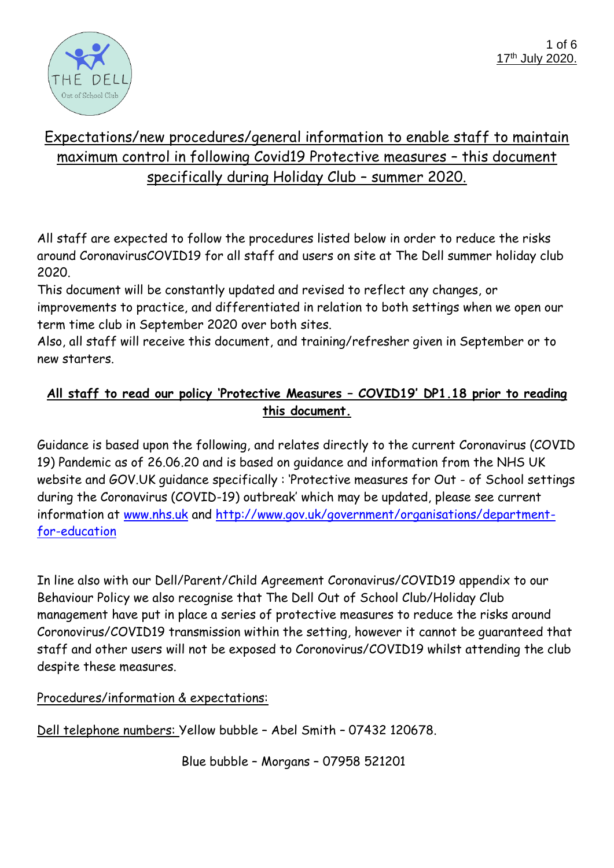

## Expectations/new procedures/general information to enable staff to maintain maximum control in following Covid19 Protective measures – this document specifically during Holiday Club – summer 2020.

All staff are expected to follow the procedures listed below in order to reduce the risks around CoronavirusCOVID19 for all staff and users on site at The Dell summer holiday club 2020.

This document will be constantly updated and revised to reflect any changes, or improvements to practice, and differentiated in relation to both settings when we open our term time club in September 2020 over both sites.

Also, all staff will receive this document, and training/refresher given in September or to new starters.

## **All staff to read our policy 'Protective Measures – COVID19' DP1.18 prior to reading this document.**

Guidance is based upon the following, and relates directly to the current Coronavirus (COVID 19) Pandemic as of 26.06.20 and is based on guidance and information from the NHS UK website and GOV.UK guidance specifically : 'Protective measures for Out - of School settings during the Coronavirus (COVID-19) outbreak' which may be updated, please see current information at www.nhs.uk and [http://www.gov.uk/government/organisations/department](http://www.gov.uk/government/organisations/department-for-education)[for-education](http://www.gov.uk/government/organisations/department-for-education)

In line also with our Dell/Parent/Child Agreement Coronavirus/COVID19 appendix to our Behaviour Policy we also recognise that The Dell Out of School Club/Holiday Club management have put in place a series of protective measures to reduce the risks around Coronovirus/COVID19 transmission within the setting, however it cannot be guaranteed that staff and other users will not be exposed to Coronovirus/COVID19 whilst attending the club despite these measures.

Procedures/information & expectations:

Dell telephone numbers: Yellow bubble – Abel Smith – 07432 120678.

Blue bubble – Morgans – 07958 521201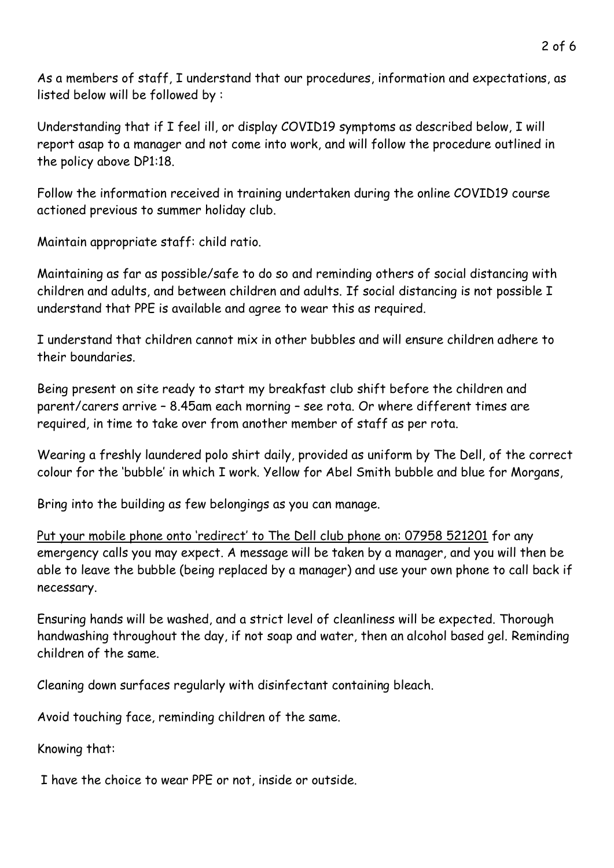As a members of staff, I understand that our procedures, information and expectations, as listed below will be followed by :

Understanding that if I feel ill, or display COVID19 symptoms as described below, I will report asap to a manager and not come into work, and will follow the procedure outlined in the policy above DP1:18.

Follow the information received in training undertaken during the online COVID19 course actioned previous to summer holiday club.

Maintain appropriate staff: child ratio.

Maintaining as far as possible/safe to do so and reminding others of social distancing with children and adults, and between children and adults. If social distancing is not possible I understand that PPE is available and agree to wear this as required.

I understand that children cannot mix in other bubbles and will ensure children adhere to their boundaries.

Being present on site ready to start my breakfast club shift before the children and parent/carers arrive – 8.45am each morning – see rota. Or where different times are required, in time to take over from another member of staff as per rota.

Wearing a freshly laundered polo shirt daily, provided as uniform by The Dell, of the correct colour for the 'bubble' in which I work. Yellow for Abel Smith bubble and blue for Morgans,

Bring into the building as few belongings as you can manage.

Put your mobile phone onto 'redirect' to The Dell club phone on: 07958 521201 for any emergency calls you may expect. A message will be taken by a manager, and you will then be able to leave the bubble (being replaced by a manager) and use your own phone to call back if necessary.

Ensuring hands will be washed, and a strict level of cleanliness will be expected. Thorough handwashing throughout the day, if not soap and water, then an alcohol based gel. Reminding children of the same.

Cleaning down surfaces regularly with disinfectant containing bleach.

Avoid touching face, reminding children of the same.

Knowing that:

I have the choice to wear PPE or not, inside or outside.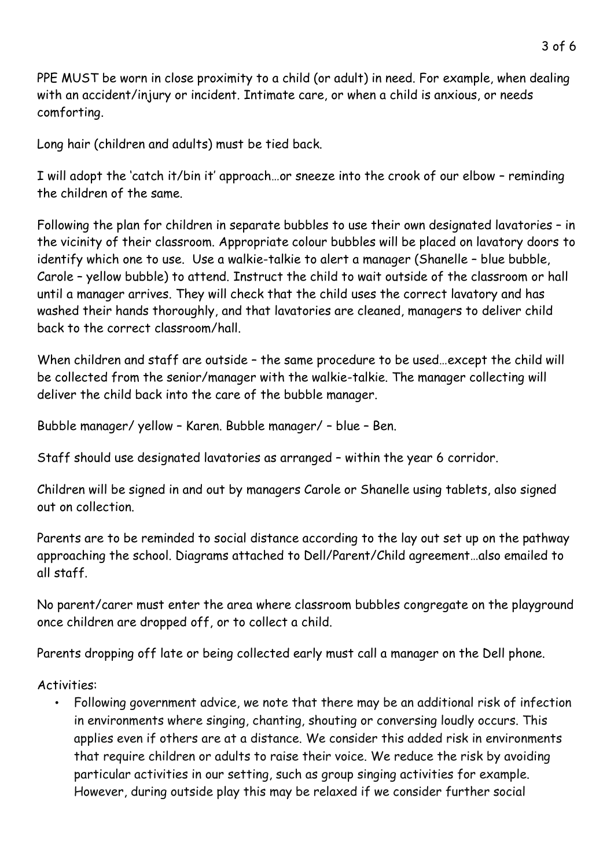PPE MUST be worn in close proximity to a child (or adult) in need. For example, when dealing with an accident/injury or incident. Intimate care, or when a child is anxious, or needs comforting.

Long hair (children and adults) must be tied back.

I will adopt the 'catch it/bin it' approach…or sneeze into the crook of our elbow – reminding the children of the same.

Following the plan for children in separate bubbles to use their own designated lavatories – in the vicinity of their classroom. Appropriate colour bubbles will be placed on lavatory doors to identify which one to use. Use a walkie-talkie to alert a manager (Shanelle – blue bubble, Carole – yellow bubble) to attend. Instruct the child to wait outside of the classroom or hall until a manager arrives. They will check that the child uses the correct lavatory and has washed their hands thoroughly, and that lavatories are cleaned, managers to deliver child back to the correct classroom/hall.

When children and staff are outside - the same procedure to be used...except the child will be collected from the senior/manager with the walkie-talkie. The manager collecting will deliver the child back into the care of the bubble manager.

Bubble manager/ yellow – Karen. Bubble manager/ – blue – Ben.

Staff should use designated lavatories as arranged – within the year 6 corridor.

Children will be signed in and out by managers Carole or Shanelle using tablets, also signed out on collection.

Parents are to be reminded to social distance according to the lay out set up on the pathway approaching the school. Diagrams attached to Dell/Parent/Child agreement…also emailed to all staff.

No parent/carer must enter the area where classroom bubbles congregate on the playground once children are dropped off, or to collect a child.

Parents dropping off late or being collected early must call a manager on the Dell phone.

Activities:

• Following government advice, we note that there may be an additional risk of infection in environments where singing, chanting, shouting or conversing loudly occurs. This applies even if others are at a distance. We consider this added risk in environments that require children or adults to raise their voice. We reduce the risk by avoiding particular activities in our setting, such as group singing activities for example. However, during outside play this may be relaxed if we consider further social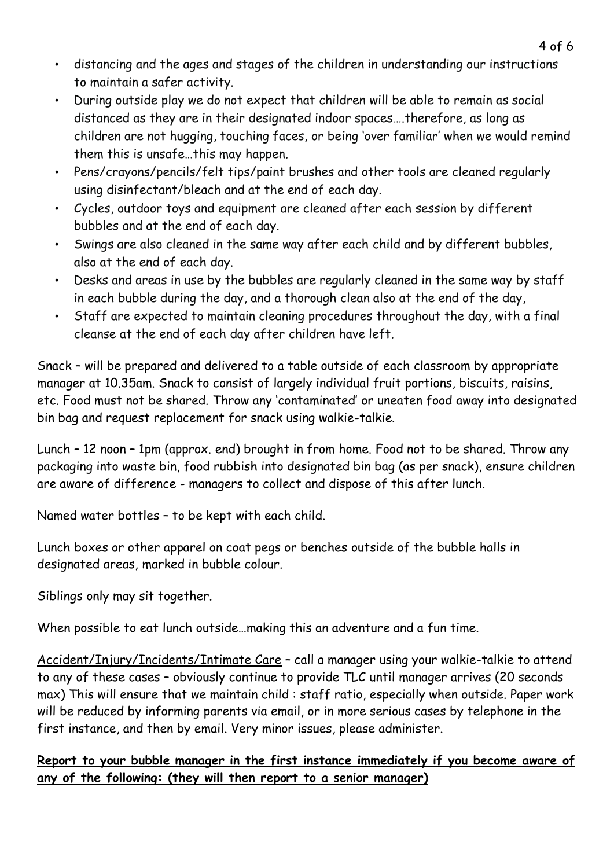- distancing and the ages and stages of the children in understanding our instructions to maintain a safer activity.
- During outside play we do not expect that children will be able to remain as social distanced as they are in their designated indoor spaces….therefore, as long as children are not hugging, touching faces, or being 'over familiar' when we would remind them this is unsafe…this may happen.
- Pens/crayons/pencils/felt tips/paint brushes and other tools are cleaned regularly using disinfectant/bleach and at the end of each day.
- Cycles, outdoor toys and equipment are cleaned after each session by different bubbles and at the end of each day.
- Swings are also cleaned in the same way after each child and by different bubbles, also at the end of each day.
- Desks and areas in use by the bubbles are regularly cleaned in the same way by staff in each bubble during the day, and a thorough clean also at the end of the day,
- Staff are expected to maintain cleaning procedures throughout the day, with a final cleanse at the end of each day after children have left.

Snack – will be prepared and delivered to a table outside of each classroom by appropriate manager at 10.35am. Snack to consist of largely individual fruit portions, biscuits, raisins, etc. Food must not be shared. Throw any 'contaminated' or uneaten food away into designated bin bag and request replacement for snack using walkie-talkie.

Lunch – 12 noon – 1pm (approx. end) brought in from home. Food not to be shared. Throw any packaging into waste bin, food rubbish into designated bin bag (as per snack), ensure children are aware of difference - managers to collect and dispose of this after lunch.

Named water bottles – to be kept with each child.

Lunch boxes or other apparel on coat pegs or benches outside of the bubble halls in designated areas, marked in bubble colour.

Siblings only may sit together.

When possible to eat lunch outside…making this an adventure and a fun time.

Accident/Injury/Incidents/Intimate Care – call a manager using your walkie-talkie to attend to any of these cases – obviously continue to provide TLC until manager arrives (20 seconds max) This will ensure that we maintain child : staff ratio, especially when outside. Paper work will be reduced by informing parents via email, or in more serious cases by telephone in the first instance, and then by email. Very minor issues, please administer.

## **Report to your bubble manager in the first instance immediately if you become aware of any of the following: (they will then report to a senior manager)**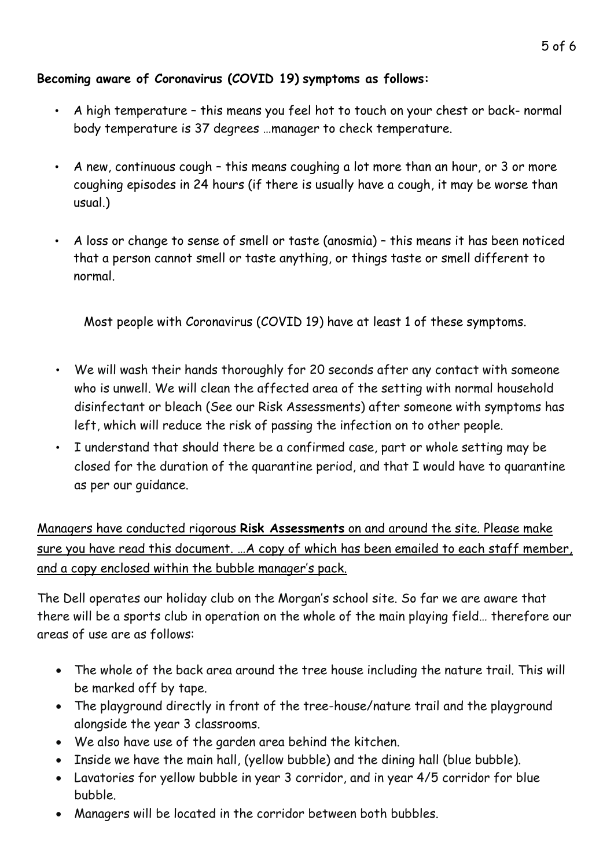## **Becoming aware of Coronavirus (COVID 19) symptoms as follows:**

- A high temperature this means you feel hot to touch on your chest or back- normal body temperature is 37 degrees …manager to check temperature.
- A new, continuous cough this means coughing a lot more than an hour, or 3 or more coughing episodes in 24 hours (if there is usually have a cough, it may be worse than usual.)
- A loss or change to sense of smell or taste (anosmia) this means it has been noticed that a person cannot smell or taste anything, or things taste or smell different to normal.

Most people with Coronavirus (COVID 19) have at least 1 of these symptoms.

- We will wash their hands thoroughly for 20 seconds after any contact with someone who is unwell. We will clean the affected area of the setting with normal household disinfectant or bleach (See our Risk Assessments) after someone with symptoms has left, which will reduce the risk of passing the infection on to other people.
- I understand that should there be a confirmed case, part or whole setting may be closed for the duration of the quarantine period, and that I would have to quarantine as per our guidance.

Managers have conducted rigorous **Risk Assessments** on and around the site. Please make sure you have read this document. …A copy of which has been emailed to each staff member, and a copy enclosed within the bubble manager's pack.

The Dell operates our holiday club on the Morgan's school site. So far we are aware that there will be a sports club in operation on the whole of the main playing field… therefore our areas of use are as follows:

- The whole of the back area around the tree house including the nature trail. This will be marked off by tape.
- The playground directly in front of the tree-house/nature trail and the playground alongside the year 3 classrooms.
- We also have use of the garden area behind the kitchen.
- Inside we have the main hall, (yellow bubble) and the dining hall (blue bubble).
- Lavatories for yellow bubble in year 3 corridor, and in year 4/5 corridor for blue bubble.
- Managers will be located in the corridor between both bubbles.